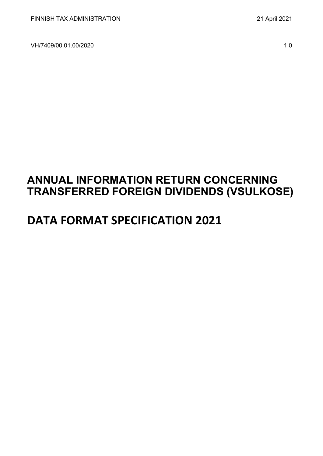VH/7409/00.01.00/2020 1.0

# **ANNUAL INFORMATION RETURN CONCERNING TRANSFERRED FOREIGN DIVIDENDS (VSULKOSE)**

# **DATA FORMAT SPECIFICATION 2021**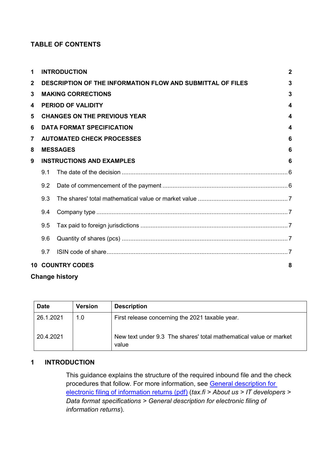# **TABLE OF CONTENTS**

| $\mathbf{1}$    |                           | <b>INTRODUCTION</b>                                               | $\mathbf{2}$     |  |  |  |  |
|-----------------|---------------------------|-------------------------------------------------------------------|------------------|--|--|--|--|
| $\mathbf{2}$    |                           | <b>DESCRIPTION OF THE INFORMATION FLOW AND SUBMITTAL OF FILES</b> | 3                |  |  |  |  |
| 3               |                           | <b>MAKING CORRECTIONS</b>                                         | 3                |  |  |  |  |
| 4               |                           | <b>PERIOD OF VALIDITY</b>                                         | 4                |  |  |  |  |
| 5               |                           | <b>CHANGES ON THE PREVIOUS YEAR</b>                               | 4                |  |  |  |  |
| 6               |                           | <b>DATA FORMAT SPECIFICATION</b>                                  | $\boldsymbol{4}$ |  |  |  |  |
| $\overline{7}$  |                           | <b>AUTOMATED CHECK PROCESSES</b>                                  | 6                |  |  |  |  |
| 8               |                           | <b>MESSAGES</b>                                                   | 6                |  |  |  |  |
| 9               |                           | <b>INSTRUCTIONS AND EXAMPLES</b>                                  | 6                |  |  |  |  |
|                 | 9.1                       |                                                                   |                  |  |  |  |  |
|                 | 9.2                       |                                                                   |                  |  |  |  |  |
|                 | 9.3                       |                                                                   |                  |  |  |  |  |
|                 | 9.4                       |                                                                   |                  |  |  |  |  |
|                 | 9.5                       |                                                                   |                  |  |  |  |  |
|                 | 9.6                       |                                                                   |                  |  |  |  |  |
|                 | 9.7                       |                                                                   |                  |  |  |  |  |
| 10 <sup>1</sup> | <b>COUNTRY CODES</b><br>8 |                                                                   |                  |  |  |  |  |

# **Change history**

| <b>Date</b> | <b>Version</b> | <b>Description</b>                                                         |
|-------------|----------------|----------------------------------------------------------------------------|
| 26.1.2021   | 1.0            | First release concerning the 2021 taxable year.                            |
| 20.4.2021   |                | New text under 9.3 The shares' total mathematical value or market<br>value |

## <span id="page-1-0"></span>**1 INTRODUCTION**

This guidance explains the structure of the required inbound file and the check procedures that follow. For more information, see [General description for](https://www.vero.fi/globalassets/tietoa-verohallinnosta/ohjelmistokehittajille/s%C3%A4hk%C3%B6isen-ilmoittamisen-yleiskuvaus2.pdf)  [electronic filing of information returns \(pdf\)](https://www.vero.fi/globalassets/tietoa-verohallinnosta/ohjelmistokehittajille/s%C3%A4hk%C3%B6isen-ilmoittamisen-yleiskuvaus2.pdf) (*tax.fi > About us > IT developers > Data format specifications > General description for electronic filing of information returns*).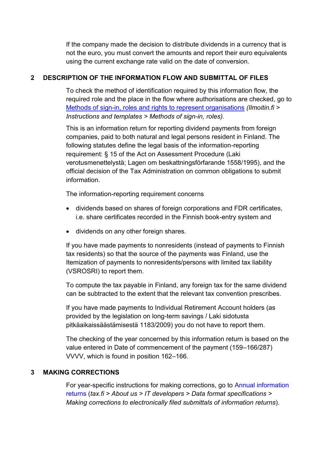If the company made the decision to distribute dividends in a currency that is not the euro, you must convert the amounts and report their euro equivalents using the current exchange rate valid on the date of conversion.

# <span id="page-2-0"></span>**2 DESCRIPTION OF THE INFORMATION FLOW AND SUBMITTAL OF FILES**

To check the method of identification required by this information flow, the required role and the place in the flow where authorisations are checked, go to [Methods of sign-in, roles and rights to represent organisations](https://www.ilmoitin.fi/webtamo/sivut/IlmoituslajiRoolit?kieli=en&tv=VSULKOSE) *[\(Ilmoitin.fi >](https://www.ilmoitin.fi/webtamo/sivut/IlmoituslajiRoolit?kieli=en)  [Instructions and templates > Methods of sign-in, roles\)](https://www.ilmoitin.fi/webtamo/sivut/IlmoituslajiRoolit?kieli=en).*

This is an information return for reporting dividend payments from foreign companies, paid to both natural and legal persons resident in Finland. The following statutes define the legal basis of the information-reporting requirement: § 15 of the Act on Assessment Procedure (Laki verotusmenettelystä; Lagen om beskattningsförfarande 1558/1995), and the official decision of the Tax Administration on common obligations to submit information.

The information-reporting requirement concerns

- dividends based on shares of foreign corporations and FDR certificates, i.e. share certificates recorded in the Finnish book-entry system and
- dividends on any other foreign shares.

If you have made payments to nonresidents (instead of payments to Finnish tax residents) so that the source of the payments was Finland, use the Itemization of payments to nonresidents/persons with limited tax liability (VSROSRI) to report them.

To compute the tax payable in Finland, any foreign tax for the same dividend can be subtracted to the extent that the relevant tax convention prescribes.

If you have made payments to Individual Retirement Account holders (as provided by the legislation on long-term savings / Laki sidotusta pitkäaikaissäästämisestä 1183/2009) you do not have to report them.

The checking of the year concerned by this information return is based on the value entered in Date of commencement of the payment (159–166/287) VVVV, which is found in position 162–166.

# <span id="page-2-1"></span>**3 MAKING CORRECTIONS**

For year-specific instructions for making corrections, go to [Annual information](https://www.vero.fi/en/About-us/it_developer/data-format-specifications/annual_information_returns__instruction/)  [returns](https://www.vero.fi/en/About-us/it_developer/data-format-specifications/annual_information_returns__instruction/) (*tax.fi > About us > IT developers > Data format specifications > Making corrections to electronically filed submittals of information returns*).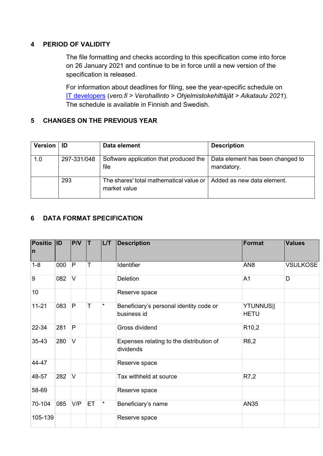## <span id="page-3-0"></span>**4 PERIOD OF VALIDITY**

The file formatting and checks according to this specification come into force on 26 January 2021 and continue to be in force until a new version of the specification is released.

For information about deadlines for filing, see the year-specific schedule on [IT developers](https://www.vero.fi/tietoa-verohallinnosta/kehittaja/) (*vero.fi > Verohallinto > Ohjelmistokehittäjät > Aikataulu 2021*). The schedule is available in Finnish and Swedish.

## <span id="page-3-1"></span>**5 CHANGES ON THE PREVIOUS YEAR**

| Version   ID |             | Data element                                                                         | <b>Description</b>                             |
|--------------|-------------|--------------------------------------------------------------------------------------|------------------------------------------------|
| 1.0          | 297-331/048 | Software application that produced the<br>file                                       | Data element has been changed to<br>mandatory. |
|              | 293         | The shares' total mathematical value or   Added as new data element.<br>market value |                                                |

## <span id="page-3-2"></span>**6 DATA FORMAT SPECIFICATION**

| <b>Positio</b><br>$\mathsf{n}$ | $ $ ID | PVV            | T  | L/T      | <b>Description</b>                                     | Format                          | <b>Values</b>   |
|--------------------------------|--------|----------------|----|----------|--------------------------------------------------------|---------------------------------|-----------------|
| $1 - 8$                        | 000    | P              | T  |          | <b>Identifier</b>                                      | AN <sub>8</sub>                 | <b>VSULKOSE</b> |
| 9                              | 082    | $\overline{V}$ |    |          | <b>Deletion</b>                                        | A <sub>1</sub>                  | D               |
| 10                             |        |                |    |          | Reserve space                                          |                                 |                 |
| $11 - 21$                      | 083    | P              | T  | $\star$  | Beneficiary's personal identity code or<br>business id | <b>YTUNNUS  </b><br><b>HETU</b> |                 |
| 22-34                          | 281    | P              |    |          | Gross dividend                                         | R <sub>10</sub> ,2              |                 |
| 35-43                          | 280    | $\vee$         |    |          | Expenses relating to the distribution of<br>dividends  | R <sub>6</sub> ,2               |                 |
| 44-47                          |        |                |    |          | Reserve space                                          |                                 |                 |
| 48-57                          | 282    | $\vee$         |    |          | Tax withheld at source                                 | R7,2                            |                 |
| 58-69                          |        |                |    |          | Reserve space                                          |                                 |                 |
| 70-104                         | 085    | V/P            | ET | $^\star$ | Beneficiary's name                                     | <b>AN35</b>                     |                 |
| 105-139                        |        |                |    |          | Reserve space                                          |                                 |                 |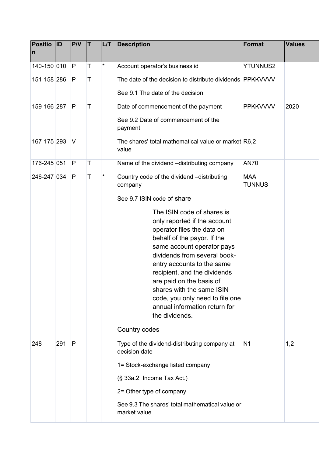| <b>Positio</b><br>$\mathsf{n}$ | <b>ID</b> | PVV | T | L/T     | <b>Description</b>                                               | <b>Format</b>               | <b>Values</b> |
|--------------------------------|-----------|-----|---|---------|------------------------------------------------------------------|-----------------------------|---------------|
| 140-150 010                    |           | P   | T | $\star$ | Account operator's business id                                   | <b>YTUNNUS2</b>             |               |
| 151-158 286                    |           | P   | Τ |         | The date of the decision to distribute dividends PPKKVVVV        |                             |               |
|                                |           |     |   |         | See 9.1 The date of the decision                                 |                             |               |
| 159-166 287                    |           | P   | Т |         | Date of commencement of the payment                              | <b>PPKKVVVV</b>             | 2020          |
|                                |           |     |   |         | See 9.2 Date of commencement of the<br>payment                   |                             |               |
| 167-175 293                    |           | V   |   |         | The shares' total mathematical value or market R6,2<br>value     |                             |               |
| 176-245 051                    |           | P   | Т |         | Name of the dividend -distributing company                       | <b>AN70</b>                 |               |
| 246-247 034                    |           | P   | Τ | *       | Country code of the dividend -distributing<br>company            | <b>MAA</b><br><b>TUNNUS</b> |               |
|                                |           |     |   |         | See 9.7 ISIN code of share                                       |                             |               |
|                                |           |     |   |         | The ISIN code of shares is                                       |                             |               |
|                                |           |     |   |         | only reported if the account<br>operator files the data on       |                             |               |
|                                |           |     |   |         | behalf of the payor. If the                                      |                             |               |
|                                |           |     |   |         | same account operator pays<br>dividends from several book-       |                             |               |
|                                |           |     |   |         | entry accounts to the same                                       |                             |               |
|                                |           |     |   |         | recipient, and the dividends<br>are paid on the basis of         |                             |               |
|                                |           |     |   |         | shares with the same ISIN                                        |                             |               |
|                                |           |     |   |         | code, you only need to file one<br>annual information return for |                             |               |
|                                |           |     |   |         | the dividends.                                                   |                             |               |
|                                |           |     |   |         | Country codes                                                    |                             |               |
| 248                            | 291       | P   |   |         | Type of the dividend-distributing company at<br>decision date    | N <sub>1</sub>              | 1,2           |
|                                |           |     |   |         | 1= Stock-exchange listed company                                 |                             |               |
|                                |           |     |   |         | (§ 33a.2, Income Tax Act.)                                       |                             |               |
|                                |           |     |   |         | 2= Other type of company                                         |                             |               |
|                                |           |     |   |         | See 9.3 The shares' total mathematical value or<br>market value  |                             |               |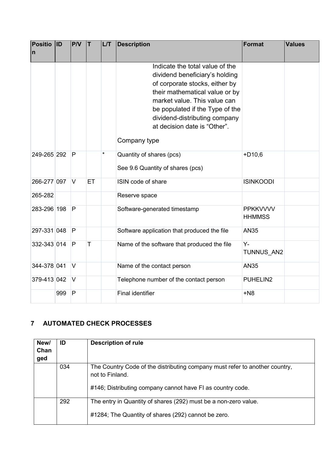| <b>Positio</b> | <b>ID</b> | P/V    | İΤ | L/T     | <b>Description</b>                                                                                                                                                                                                                                                                        | <b>Format</b>                    | <b>Values</b> |
|----------------|-----------|--------|----|---------|-------------------------------------------------------------------------------------------------------------------------------------------------------------------------------------------------------------------------------------------------------------------------------------------|----------------------------------|---------------|
| $\mathsf{n}$   |           |        |    |         |                                                                                                                                                                                                                                                                                           |                                  |               |
|                |           |        |    |         | Indicate the total value of the<br>dividend beneficiary's holding<br>of corporate stocks, either by<br>their mathematical value or by<br>market value. This value can<br>be populated if the Type of the<br>dividend-distributing company<br>at decision date is "Other".<br>Company type |                                  |               |
| 249-265 292    |           | P      |    | $\star$ | Quantity of shares (pcs)<br>See 9.6 Quantity of shares (pcs)                                                                                                                                                                                                                              | $+D10,6$                         |               |
| 266-277 097    |           | $\vee$ | ET |         | ISIN code of share                                                                                                                                                                                                                                                                        | <b>ISINKOODI</b>                 |               |
| 265-282        |           |        |    |         | Reserve space                                                                                                                                                                                                                                                                             |                                  |               |
| 283-296 198    |           | P      |    |         | Software-generated timestamp                                                                                                                                                                                                                                                              | <b>PPKKVVVV</b><br><b>HHMMSS</b> |               |
| 297-331 048    |           | P      |    |         | Software application that produced the file                                                                                                                                                                                                                                               | <b>AN35</b>                      |               |
| 332-343 014    |           | P      | T  |         | Name of the software that produced the file                                                                                                                                                                                                                                               | Y-<br>TUNNUS AN2                 |               |
| 344-378 041    |           | $\vee$ |    |         | Name of the contact person                                                                                                                                                                                                                                                                | <b>AN35</b>                      |               |
| 379-413 042    |           | $\vee$ |    |         | Telephone number of the contact person                                                                                                                                                                                                                                                    | PUHELIN2                         |               |
|                | 999       | P      |    |         | <b>Final identifier</b>                                                                                                                                                                                                                                                                   | $+N8$                            |               |

# <span id="page-5-0"></span>**7 AUTOMATED CHECK PROCESSES**

| New/<br>Chan<br>ged | ID  | <b>Description of rule</b>                                                                                                                                   |
|---------------------|-----|--------------------------------------------------------------------------------------------------------------------------------------------------------------|
|                     | 034 | The Country Code of the distributing company must refer to another country,<br>not to Finland.<br>#146; Distributing company cannot have FI as country code. |
|                     | 292 | The entry in Quantity of shares (292) must be a non-zero value.<br>#1284; The Quantity of shares (292) cannot be zero.                                       |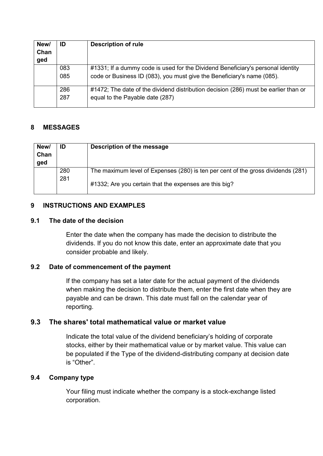| New/ | ID  | <b>Description of rule</b>                                                          |
|------|-----|-------------------------------------------------------------------------------------|
| Chan |     |                                                                                     |
| ged  |     |                                                                                     |
|      | 083 | #1331; If a dummy code is used for the Dividend Beneficiary's personal identity     |
|      | 085 | code or Business ID (083), you must give the Beneficiary's name (085).              |
|      | 286 | #1472; The date of the dividend distribution decision (286) must be earlier than or |
|      | 287 | equal to the Payable date (287)                                                     |

## <span id="page-6-0"></span>**8 MESSAGES**

| New/<br>Chan<br>ged | ID         | Description of the message                                                       |
|---------------------|------------|----------------------------------------------------------------------------------|
|                     | 280<br>281 | The maximum level of Expenses (280) is ten per cent of the gross dividends (281) |
|                     |            | #1332; Are you certain that the expenses are this big?                           |

### <span id="page-6-1"></span>**9 INSTRUCTIONS AND EXAMPLES**

### <span id="page-6-2"></span>**9.1 The date of the decision**

Enter the date when the company has made the decision to distribute the dividends. If you do not know this date, enter an approximate date that you consider probable and likely.

### <span id="page-6-3"></span>**9.2 Date of commencement of the payment**

If the company has set a later date for the actual payment of the dividends when making the decision to distribute them, enter the first date when they are payable and can be drawn. This date must fall on the calendar year of reporting.

## <span id="page-6-4"></span>**9.3 The shares' total mathematical value or market value**

Indicate the total value of the dividend beneficiary's holding of corporate stocks, either by their mathematical value or by market value. This value can be populated if the Type of the dividend-distributing company at decision date is "Other".

### <span id="page-6-5"></span>**9.4 Company type**

Your filing must indicate whether the company is a stock-exchange listed corporation.